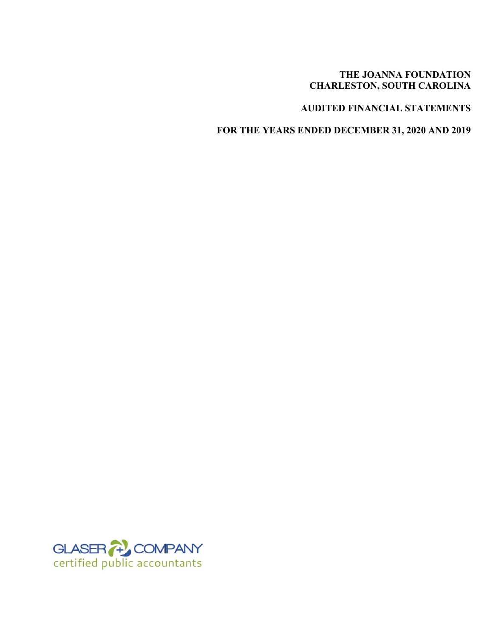## **THE JOANNA FOUNDATION CHARLESTON, SOUTH CAROLINA**

# **AUDITED FINANCIAL STATEMENTS**

**FOR THE YEARS ENDED DECEMBER 31, 2020 AND 2019** 

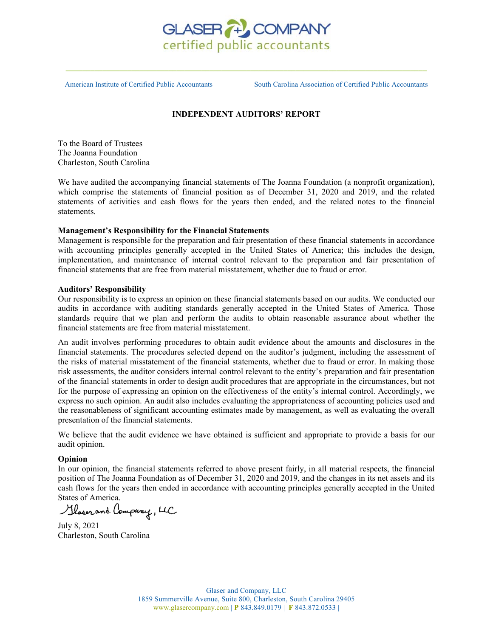

American Institute of Certified Public Accountants South Carolina Association of Certified Public Accountants

#### **INDEPENDENT AUDITORS' REPORT**

To the Board of Trustees The Joanna Foundation Charleston, South Carolina

We have audited the accompanying financial statements of The Joanna Foundation (a nonprofit organization), which comprise the statements of financial position as of December 31, 2020 and 2019, and the related statements of activities and cash flows for the years then ended, and the related notes to the financial statements.

#### **Management's Responsibility for the Financial Statements**

Management is responsible for the preparation and fair presentation of these financial statements in accordance with accounting principles generally accepted in the United States of America; this includes the design, implementation, and maintenance of internal control relevant to the preparation and fair presentation of financial statements that are free from material misstatement, whether due to fraud or error.

#### **Auditors' Responsibility**

Our responsibility is to express an opinion on these financial statements based on our audits. We conducted our audits in accordance with auditing standards generally accepted in the United States of America. Those standards require that we plan and perform the audits to obtain reasonable assurance about whether the financial statements are free from material misstatement.

An audit involves performing procedures to obtain audit evidence about the amounts and disclosures in the financial statements. The procedures selected depend on the auditor's judgment, including the assessment of the risks of material misstatement of the financial statements, whether due to fraud or error. In making those risk assessments, the auditor considers internal control relevant to the entity's preparation and fair presentation of the financial statements in order to design audit procedures that are appropriate in the circumstances, but not for the purpose of expressing an opinion on the effectiveness of the entity's internal control. Accordingly, we express no such opinion. An audit also includes evaluating the appropriateness of accounting policies used and the reasonableness of significant accounting estimates made by management, as well as evaluating the overall presentation of the financial statements.

We believe that the audit evidence we have obtained is sufficient and appropriate to provide a basis for our audit opinion.

#### **Opinion**

In our opinion, the financial statements referred to above present fairly, in all material respects, the financial position of The Joanna Foundation as of December 31, 2020 and 2019, and the changes in its net assets and its cash flows for the years then ended in accordance with accounting principles generally accepted in the United

States of America.

July 8, 2021 Charleston, South Carolina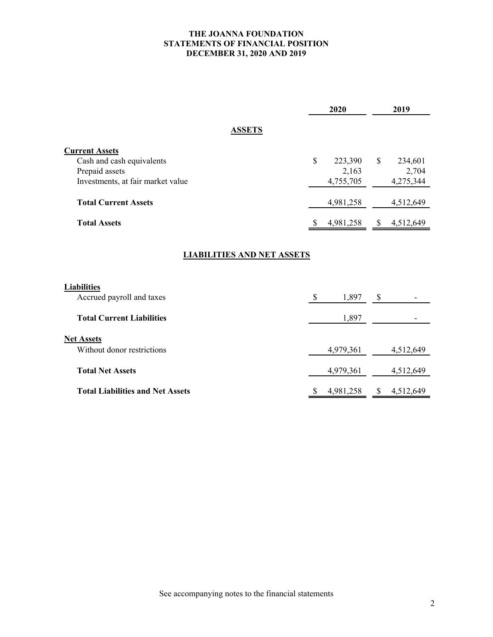## **THE JOANNA FOUNDATION STATEMENTS OF FINANCIAL POSITION DECEMBER 31, 2020 AND 2019**

|                                         | 2020            | 2019                      |
|-----------------------------------------|-----------------|---------------------------|
| <b>ASSETS</b>                           |                 |                           |
| <b>Current Assets</b>                   |                 |                           |
| Cash and cash equivalents               | \$<br>223,390   | <sup>\$</sup><br>234,601  |
| Prepaid assets                          | 2,163           | 2,704                     |
| Investments, at fair market value       | 4,755,705       | 4,275,344                 |
| <b>Total Current Assets</b>             | 4,981,258       | 4,512,649                 |
| <b>Total Assets</b>                     | 4,981,258<br>\$ | 4,512,649<br>\$           |
| <b>LIABILITIES AND NET ASSETS</b>       |                 |                           |
| <b>Liabilities</b>                      |                 |                           |
| Accrued payroll and taxes               | 1,897<br>\$     | \$                        |
| <b>Total Current Liabilities</b>        | 1,897           |                           |
| <b>Net Assets</b>                       |                 |                           |
| Without donor restrictions              | 4,979,361       | 4,512,649                 |
| <b>Total Net Assets</b>                 | 4,979,361       | 4,512,649                 |
| <b>Total Liabilities and Net Assets</b> | \$<br>4,981,258 | $\mathbb{S}$<br>4,512,649 |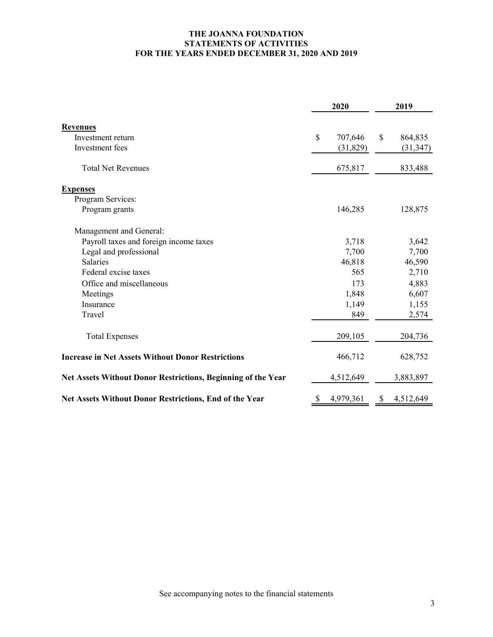## **THE JOANNA FOUNDATION STATEMENTS OF ACTIVITIES FOR THE YEARS ENDED DECEMBER 31, 2020 AND 2019**

|                                                                     | 2020 |           | 2019 |           |
|---------------------------------------------------------------------|------|-----------|------|-----------|
| <b>Revenues</b>                                                     |      |           |      |           |
| Investment return                                                   | \$   | 707,646   | \$   | 864,835   |
| Investment fees                                                     |      | (31, 829) |      | (31, 347) |
| <b>Total Net Revenues</b>                                           |      | 675,817   |      | 833,488   |
| <b>Expenses</b>                                                     |      |           |      |           |
| Program Services:                                                   |      |           |      |           |
| Program grants                                                      |      | 146,285   |      | 128,875   |
| Management and General:                                             |      |           |      |           |
| Payroll taxes and foreign income taxes                              |      | 3,718     |      | 3,642     |
| Legal and professional                                              |      | 7,700     |      | 7,700     |
| <b>Salaries</b>                                                     |      | 46,818    |      | 46,590    |
| Federal excise taxes                                                |      | 565       |      | 2,710     |
| Office and miscellaneous                                            |      | 173       |      | 4,883     |
| Meetings                                                            |      | 1,848     |      | 6,607     |
| Insurance                                                           |      | 1,149     |      | 1,155     |
| Travel                                                              |      | 849       |      | 2,574     |
| <b>Total Expenses</b>                                               |      | 209,105   |      | 204,736   |
| <b>Increase in Net Assets Without Donor Restrictions</b>            |      | 466,712   |      | 628,752   |
| <b>Net Assets Without Donor Restrictions, Beginning of the Year</b> |      | 4,512,649 |      | 3,883,897 |
| <b>Net Assets Without Donor Restrictions, End of the Year</b>       | S    | 4,979,361 | \$   | 4,512,649 |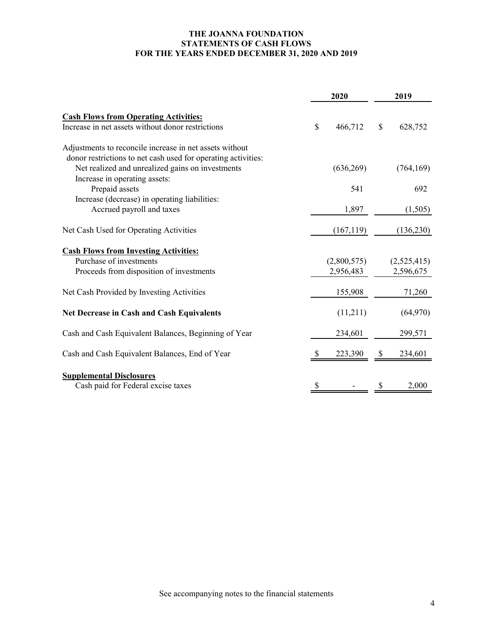## **THE JOANNA FOUNDATION STATEMENTS OF CASH FLOWS FOR THE YEARS ENDED DECEMBER 31, 2020 AND 2019**

|                                                               |              | 2020        | 2019         |             |
|---------------------------------------------------------------|--------------|-------------|--------------|-------------|
| <b>Cash Flows from Operating Activities:</b>                  |              |             |              |             |
| Increase in net assets without donor restrictions             | $\mathbb{S}$ | 466,712     | $\mathbb{S}$ | 628,752     |
| Adjustments to reconcile increase in net assets without       |              |             |              |             |
| donor restrictions to net cash used for operating activities: |              |             |              |             |
| Net realized and unrealized gains on investments              |              | (636,269)   |              | (764, 169)  |
| Increase in operating assets:                                 |              |             |              |             |
| Prepaid assets                                                |              | 541         |              | 692         |
| Increase (decrease) in operating liabilities:                 |              |             |              |             |
| Accrued payroll and taxes                                     |              | 1,897       |              | (1,505)     |
| Net Cash Used for Operating Activities                        |              | (167, 119)  |              | (136, 230)  |
| <b>Cash Flows from Investing Activities:</b>                  |              |             |              |             |
| Purchase of investments                                       |              | (2,800,575) |              | (2,525,415) |
| Proceeds from disposition of investments                      |              | 2,956,483   |              | 2,596,675   |
| Net Cash Provided by Investing Activities                     |              | 155,908     |              | 71,260      |
| <b>Net Decrease in Cash and Cash Equivalents</b>              |              | (11,211)    |              | (64,970)    |
| Cash and Cash Equivalent Balances, Beginning of Year          |              | 234,601     |              | 299,571     |
| Cash and Cash Equivalent Balances, End of Year                |              | 223,390     |              | 234,601     |
| <b>Supplemental Disclosures</b>                               |              |             |              |             |
| Cash paid for Federal excise taxes                            | \$           |             | \$           | 2,000       |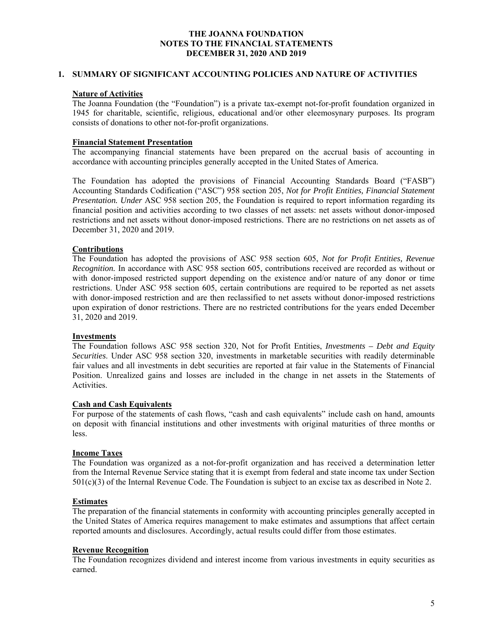#### **1. SUMMARY OF SIGNIFICANT ACCOUNTING POLICIES AND NATURE OF ACTIVITIES**

#### **Nature of Activities**

The Joanna Foundation (the "Foundation") is a private tax-exempt not-for-profit foundation organized in 1945 for charitable, scientific, religious, educational and/or other eleemosynary purposes. Its program consists of donations to other not-for-profit organizations.

## **Financial Statement Presentation**

The accompanying financial statements have been prepared on the accrual basis of accounting in accordance with accounting principles generally accepted in the United States of America.

The Foundation has adopted the provisions of Financial Accounting Standards Board ("FASB") Accounting Standards Codification ("ASC") 958 section 205, *Not for Profit Entities, Financial Statement Presentation. Under* ASC 958 section 205, the Foundation is required to report information regarding its financial position and activities according to two classes of net assets: net assets without donor-imposed restrictions and net assets without donor-imposed restrictions. There are no restrictions on net assets as of December 31, 2020 and 2019.

## **Contributions**

The Foundation has adopted the provisions of ASC 958 section 605, *Not for Profit Entities, Revenue Recognition.* In accordance with ASC 958 section 605, contributions received are recorded as without or with donor-imposed restricted support depending on the existence and/or nature of any donor or time restrictions. Under ASC 958 section 605, certain contributions are required to be reported as net assets with donor-imposed restriction and are then reclassified to net assets without donor-imposed restrictions upon expiration of donor restrictions. There are no restricted contributions for the years ended December 31, 2020 and 2019.

#### **Investments**

The Foundation follows ASC 958 section 320, Not for Profit Entities, *Investments – Debt and Equity Securities*. Under ASC 958 section 320, investments in marketable securities with readily determinable fair values and all investments in debt securities are reported at fair value in the Statements of Financial Position. Unrealized gains and losses are included in the change in net assets in the Statements of Activities.

## **Cash and Cash Equivalents**

For purpose of the statements of cash flows, "cash and cash equivalents" include cash on hand, amounts on deposit with financial institutions and other investments with original maturities of three months or less.

#### **Income Taxes**

The Foundation was organized as a not-for-profit organization and has received a determination letter from the Internal Revenue Service stating that it is exempt from federal and state income tax under Section 501(c)(3) of the Internal Revenue Code. The Foundation is subject to an excise tax as described in Note 2.

#### **Estimates**

The preparation of the financial statements in conformity with accounting principles generally accepted in the United States of America requires management to make estimates and assumptions that affect certain reported amounts and disclosures. Accordingly, actual results could differ from those estimates.

#### **Revenue Recognition**

The Foundation recognizes dividend and interest income from various investments in equity securities as earned.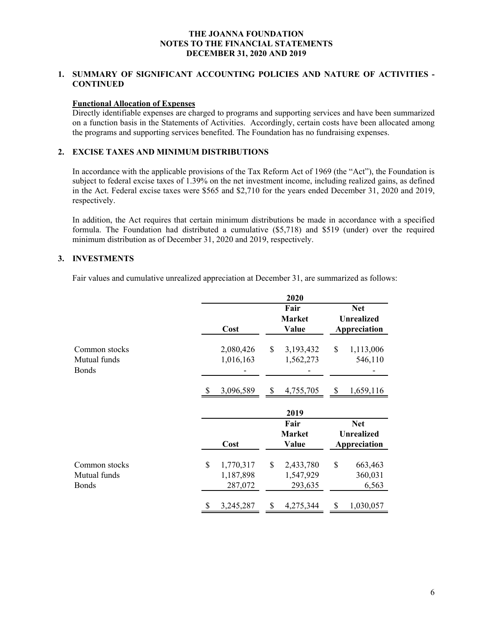## **1. SUMMARY OF SIGNIFICANT ACCOUNTING POLICIES AND NATURE OF ACTIVITIES - CONTINUED**

### **Functional Allocation of Expenses**

Directly identifiable expenses are charged to programs and supporting services and have been summarized on a function basis in the Statements of Activities. Accordingly, certain costs have been allocated among the programs and supporting services benefited. The Foundation has no fundraising expenses.

## **2. EXCISE TAXES AND MINIMUM DISTRIBUTIONS**

In accordance with the applicable provisions of the Tax Reform Act of 1969 (the "Act"), the Foundation is subject to federal excise taxes of 1.39% on the net investment income, including realized gains, as defined in the Act. Federal excise taxes were \$565 and \$2,710 for the years ended December 31, 2020 and 2019, respectively.

In addition, the Act requires that certain minimum distributions be made in accordance with a specified formula. The Foundation had distributed a cumulative (\$5,718) and \$519 (under) over the required minimum distribution as of December 31, 2020 and 2019, respectively.

## **3. INVESTMENTS**

Fair values and cumulative unrealized appreciation at December 31, are summarized as follows:

|                                               |                                         | 2020                                    |                                   |  |  |
|-----------------------------------------------|-----------------------------------------|-----------------------------------------|-----------------------------------|--|--|
|                                               |                                         | Fair<br><b>Market</b>                   | <b>Net</b><br><b>Unrealized</b>   |  |  |
|                                               | Cost                                    | Value                                   | Appreciation                      |  |  |
| Common stocks<br>Mutual funds<br><b>Bonds</b> | 2,080,426<br>1,016,163                  | \$<br>3,193,432<br>1,562,273            | \$<br>1,113,006<br>546,110        |  |  |
|                                               | 3,096,589                               | \$<br>4,755,705                         | \$<br>1,659,116                   |  |  |
|                                               |                                         | 2019                                    |                                   |  |  |
|                                               |                                         | Fair                                    | <b>Net</b>                        |  |  |
|                                               | Cost                                    | <b>Market</b><br>Value                  | <b>Unrealized</b><br>Appreciation |  |  |
| Common stocks<br>Mutual funds<br><b>Bonds</b> | \$<br>1,770,317<br>1,187,898<br>287,072 | \$<br>2,433,780<br>1,547,929<br>293,635 | \$<br>663,463<br>360,031<br>6,563 |  |  |
|                                               |                                         |                                         | 1,030,057                         |  |  |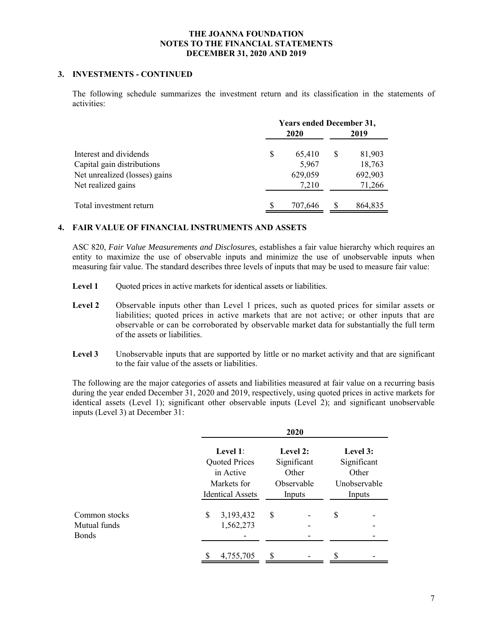## **3. INVESTMENTS - CONTINUED**

The following schedule summarizes the investment return and its classification in the statements of activities:

|                               | <b>Years ended December 31,</b> |         |   |         |
|-------------------------------|---------------------------------|---------|---|---------|
|                               |                                 | 2020    |   | 2019    |
| Interest and dividends        | S                               | 65,410  | S | 81,903  |
| Capital gain distributions    |                                 | 5,967   |   | 18,763  |
| Net unrealized (losses) gains |                                 | 629,059 |   | 692,903 |
| Net realized gains            |                                 | 7,210   |   | 71,266  |
| Total investment return       |                                 | 707,646 | S | 864,835 |

## **4. FAIR VALUE OF FINANCIAL INSTRUMENTS AND ASSETS**

ASC 820, *Fair Value Measurements and Disclosures,* establishes a fair value hierarchy which requires an entity to maximize the use of observable inputs and minimize the use of unobservable inputs when measuring fair value. The standard describes three levels of inputs that may be used to measure fair value:

- **Level 1** Quoted prices in active markets for identical assets or liabilities.
- Level 2 Observable inputs other than Level 1 prices, such as quoted prices for similar assets or liabilities; quoted prices in active markets that are not active; or other inputs that are observable or can be corroborated by observable market data for substantially the full term of the assets or liabilities.
- Level 3 Unobservable inputs that are supported by little or no market activity and that are significant to the fair value of the assets or liabilities.

The following are the major categories of assets and liabilities measured at fair value on a recurring basis during the year ended December 31, 2020 and 2019, respectively, using quoted prices in active markets for identical assets (Level 1); significant other observable inputs (Level 2); and significant unobservable inputs (Level 3) at December 31:

|                                               |                                           |                                                                                         |         | 2020                                                     |         |                                                            |  |
|-----------------------------------------------|-------------------------------------------|-----------------------------------------------------------------------------------------|---------|----------------------------------------------------------|---------|------------------------------------------------------------|--|
|                                               |                                           | Level 1:<br><b>Quoted Prices</b><br>in Active<br>Markets for<br><b>Identical Assets</b> |         | Level 2:<br>Significant<br>Other<br>Observable<br>Inputs |         | Level 3:<br>Significant<br>Other<br>Unobservable<br>Inputs |  |
| Common stocks<br>Mutual funds<br><b>Bonds</b> | 3,193,432<br>\$<br>1,562,273<br>4,755,705 |                                                                                         | \$<br>S |                                                          | \$<br>S |                                                            |  |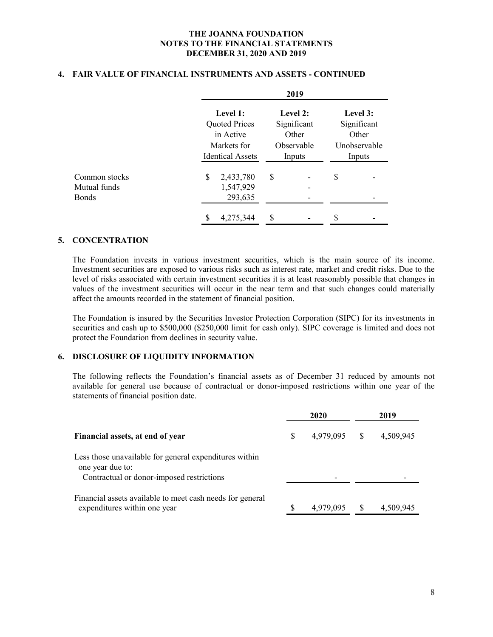#### **4. FAIR VALUE OF FINANCIAL INSTRUMENTS AND ASSETS - CONTINUED**

|               | 2019 |                                                                             |    |                               |    |              |  |
|---------------|------|-----------------------------------------------------------------------------|----|-------------------------------|----|--------------|--|
|               |      | Level 1:                                                                    |    | Level 2:                      |    | Level 3:     |  |
|               |      | <b>Quoted Prices</b>                                                        |    | Significant                   |    | Significant  |  |
|               |      | in Active<br>Markets for<br><b>Identical Assets</b><br>\$<br>S<br>2,433,780 |    | Other<br>Observable<br>Inputs |    | Other        |  |
|               |      |                                                                             |    |                               |    | Unobservable |  |
|               |      |                                                                             |    |                               |    | Inputs       |  |
| Common stocks |      |                                                                             |    |                               | \$ |              |  |
| Mutual funds  |      | 1,547,929                                                                   |    |                               |    |              |  |
| Bonds         |      | 293,635                                                                     |    |                               |    |              |  |
|               |      | 4,275,344                                                                   | \$ |                               | S  |              |  |

#### **5. CONCENTRATION**

The Foundation invests in various investment securities, which is the main source of its income. Investment securities are exposed to various risks such as interest rate, market and credit risks. Due to the level of risks associated with certain investment securities it is at least reasonably possible that changes in values of the investment securities will occur in the near term and that such changes could materially affect the amounts recorded in the statement of financial position.

The Foundation is insured by the Securities Investor Protection Corporation (SIPC) for its investments in securities and cash up to \$500,000 (\$250,000 limit for cash only). SIPC coverage is limited and does not protect the Foundation from declines in security value.

#### **6. DISCLOSURE OF LIQUIDITY INFORMATION**

The following reflects the Foundation's financial assets as of December 31 reduced by amounts not available for general use because of contractual or donor-imposed restrictions within one year of the statements of financial position date.

|                                                                                                                         | 2020 |           | 2019         |           |  |
|-------------------------------------------------------------------------------------------------------------------------|------|-----------|--------------|-----------|--|
| Financial assets, at end of year                                                                                        | S    | 4,979,095 | <sup>S</sup> | 4,509,945 |  |
| Less those unavailable for general expenditures within<br>one year due to:<br>Contractual or donor-imposed restrictions |      |           |              |           |  |
| Financial assets available to meet cash needs for general<br>expenditures within one year                               |      | 4,979,095 |              | 4,509,945 |  |